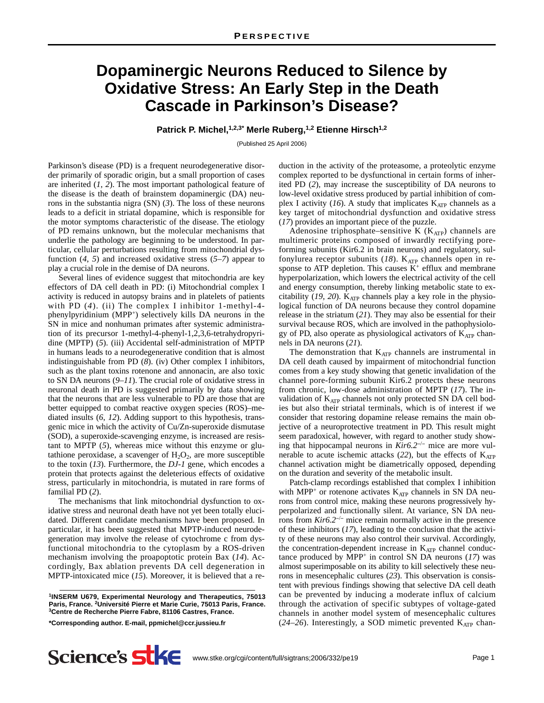## **Dopaminergic Neurons Reduced to Silence by Oxidative Stress: An Early Step in the Death Cascade in Parkinson's Disease?**

**Patrick P. Michel,1,2,3\* Merle Ruberg,1,2 Etienne Hirsch1,2**

(Published 25 April 2006)

Parkinson's disease (PD) is a frequent neurodegenerative disorder primarily of sporadic origin, but a small proportion of cases are inherited (*1*, *2*). The most important pathological feature of the disease is the death of brainstem dopaminergic (DA) neurons in the substantia nigra (SN) (*3*). The loss of these neurons leads to a deficit in striatal dopamine, which is responsible for the motor symptoms characteristic of the disease. The etiology of PD remains unknown, but the molecular mechanisms that underlie the pathology are beginning to be understood. In particular, cellular perturbations resulting from mitochondrial dysfunction  $(4, 5)$  and increased oxidative stress  $(5-7)$  appear to play a crucial role in the demise of DA neurons.

Several lines of evidence suggest that mitochondria are key effectors of DA cell death in PD: (i) Mitochondrial complex I activity is reduced in autopsy brains and in platelets of patients with PD (4). (ii) The complex I inhibitor 1-methyl-4phenylpyridinium (MPP+) selectively kills DA neurons in the SN in mice and nonhuman primates after systemic administration of its precursor 1-methyl-4-phenyl-1,2,3,6-tetrahydropyridine (MPTP) (*5*). (iii) Accidental self-administration of MPTP in humans leads to a neurodegenerative condition that is almost indistinguishable from PD (*8*). (iv) Other complex I inhibitors, such as the plant toxins rotenone and annonacin, are also toxic to SN DA neurons (*9*–*11*). The crucial role of oxidative stress in neuronal death in PD is suggested primarily by data showing that the neurons that are less vulnerable to PD are those that are better equipped to combat reactive oxygen species (ROS)–mediated insults (*6*, *12*). Adding support to this hypothesis, transgenic mice in which the activity of Cu/Zn-superoxide dismutase (SOD), a superoxide-scavenging enzyme, is increased are resistant to MPTP (*5*), whereas mice without this enzyme or glutathione peroxidase, a scavenger of  $H_2O_2$ , are more susceptible to the toxin (*13*). Furthermore, the *DJ-1* gene, which encodes a protein that protects against the deleterious effects of oxidative stress, particularly in mitochondria, is mutated in rare forms of familial PD (*2*).

The mechanisms that link mitochondrial dysfunction to oxidative stress and neuronal death have not yet been totally elucidated. Different candidate mechanisms have been proposed. In particular, it has been suggested that MPTP-induced neurodegeneration may involve the release of cytochrome c from dysfunctional mitochondria to the cytoplasm by a ROS-driven mechanism involving the proapoptotic protein Bax (*14*). Accordingly, Bax ablation prevents DA cell degeneration in MPTP-intoxicated mice (*15*). Moreover, it is believed that a re-

**1INSERM U679, Experimental Neurology and Therapeutics, 75013 Paris, France. 2Université Pierre et Marie Curie, 75013 Paris, France. 3Centre de Recherche Pierre Fabre, 81106 Castres, France.**

**\*Corresponding author. E-mail, ppmichel@ccr.jussieu.fr**

duction in the activity of the proteasome, a proteolytic enzyme complex reported to be dysfunctional in certain forms of inherited PD (*2*), may increase the susceptibility of DA neurons to low-level oxidative stress produced by partial inhibition of complex I activity  $(16)$ . A study that implicates  $K_{ATP}$  channels as a key target of mitochondrial dysfunction and oxidative stress (*17*) provides an important piece of the puzzle.

Adenosine triphosphate–sensitive K  $(K_{ATP})$  channels are multimeric proteins composed of inwardly rectifying poreforming subunits (Kir6.2 in brain neurons) and regulatory, sulfonylurea receptor subunits  $(18)$ . K<sub>ATP</sub> channels open in response to ATP depletion. This causes  $K^+$  efflux and membrane hyperpolarization, which lowers the electrical activity of the cell and energy consumption, thereby linking metabolic state to excitability  $(19, 20)$ . K<sub>ATP</sub> channels play a key role in the physiological function of DA neurons because they control dopamine release in the striatum (*21*). They may also be essential for their survival because ROS, which are involved in the pathophysiology of PD, also operate as physiological activators of KATP channels in DA neurons (*21*).

The demonstration that  $K_{ATP}$  channels are instrumental in DA cell death caused by impairment of mitochondrial function comes from a key study showing that genetic invalidation of the channel pore-forming subunit Kir6.2 protects these neurons from chronic, low-dose administration of MPTP (*17*). The invalidation of KATP channels not only protected SN DA cell bodies but also their striatal terminals, which is of interest if we consider that restoring dopamine release remains the main objective of a neuroprotective treatment in PD. This result might seem paradoxical, however, with regard to another study showing that hippocampal neurons in *Kir6.2*<sup>−</sup>/<sup>−</sup> mice are more vulnerable to acute ischemic attacks  $(22)$ , but the effects of  $K_{ATP}$ channel activation might be diametrically opposed, depending on the duration and severity of the metabolic insult.

Patch-clamp recordings established that complex I inhibition with MPP<sup>+</sup> or rotenone activates K<sub>ATP</sub> channels in SN DA neurons from control mice, making these neurons progressively hyperpolarized and functionally silent. At variance, SN DA neurons from *Kir6.2*<sup>−</sup>/<sup>−</sup> mice remain normally active in the presence of these inhibitors (*17*), leading to the conclusion that the activity of these neurons may also control their survival. Accordingly, the concentration-dependent increase in  $K_{ATP}$  channel conductance produced by  $MPP<sup>+</sup>$  in control SN DA neurons (17) was almost superimposable on its ability to kill selectively these neurons in mesencephalic cultures (*23*). This observation is consistent with previous findings showing that selective DA cell death can be prevented by inducing a moderate influx of calcium through the activation of specific subtypes of voltage-gated channels in another model system of mesencephalic cultures  $(24–26)$ . Interestingly, a SOD mimetic prevented  $K_{ATP}$  chan-

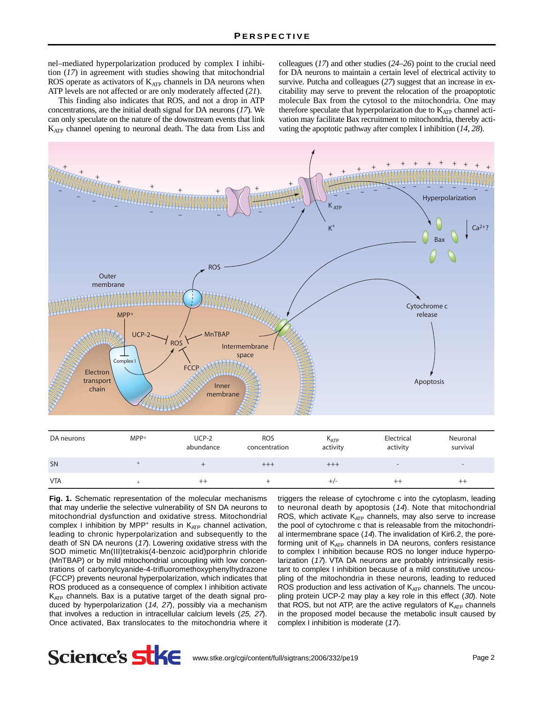nel–mediated hyperpolarization produced by complex I inhibition (*17*) in agreement with studies showing that mitochondrial ROS operate as activators of KATP channels in DA neurons when ATP levels are not affected or are only moderately affected (*21*).

This finding also indicates that ROS, and not a drop in ATP concentrations, are the initial death signal for DA neurons (*17*). We can only speculate on the nature of the downstream events that link KATP channel opening to neuronal death. The data from Liss and

colleagues (*17*) and other studies (*24*–*26*) point to the crucial need for DA neurons to maintain a certain level of electrical activity to survive. Putcha and colleagues (*27*) suggest that an increase in excitability may serve to prevent the relocation of the proapoptotic molecule Bax from the cytosol to the mitochondria. One may therefore speculate that hyperpolarization due to  $K_{ATP}$  channel activation may facilitate Bax recruitment to mitochondria, thereby activating the apoptotic pathway after complex I inhibition (*14*, *28*).



| DA neurons | $MPP^+$ | $UCP-2$<br>abundance | <b>ROS</b><br>concentration | $K_{ATP}$<br>activity | Electrical<br>activity   | Neuronal<br>survival     |
|------------|---------|----------------------|-----------------------------|-----------------------|--------------------------|--------------------------|
| SN         |         |                      | $^{+++}$                    | $^{+++}$              | $\overline{\phantom{0}}$ | $\overline{\phantom{0}}$ |
| <b>VTA</b> |         | $^{++}$              |                             | $^{+/-}$              | $^{++}$                  | $^{\mathrm{++}}$         |

**Fig. 1.** Schematic representation of the molecular mechanisms that may underlie the selective vulnerability of SN DA neurons to mitochondrial dysfunction and oxidative stress. Mitochondrial complex I inhibition by MPP<sup>+</sup> results in  $K_{ATP}$  channel activation, leading to chronic hyperpolarization and subsequently to the death of SN DA neurons (17). Lowering oxidative stress with the SOD mimetic Mn(III)tetrakis(4-benzoic acid)porphrin chloride (MnTBAP) or by mild mitochondrial uncoupling with low concentrations of carbonylcyanide-4-trifluoromethoxyphenylhydrazone (FCCP) prevents neuronal hyperpolarization, which indicates that ROS produced as a consequence of complex I inhibition activate K<sub>ATP</sub> channels. Bax is a putative target of the death signal produced by hyperpolarization (14, 27), possibly via a mechanism that involves a reduction in intracellular calcium levels (25, 27). Once activated, Bax translocates to the mitochondria where it triggers the release of cytochrome c into the cytoplasm, leading to neuronal death by apoptosis (14). Note that mitochondrial ROS, which activate  $K_{ATP}$  channels, may also serve to increase the pool of cytochrome c that is releasable from the mitochondrial intermembrane space (14). The invalidation of Kir6.2, the poreforming unit of  $K_{ATP}$  channels in DA neurons, confers resistance to complex I inhibition because ROS no longer induce hyperpolarization (17). VTA DA neurons are probably intrinsically resistant to complex I inhibition because of a mild constitutive uncoupling of the mitochondria in these neurons, leading to reduced ROS production and less activation of  $K_{ATP}$  channels. The uncoupling protein UCP-2 may play a key role in this effect (30). Note that ROS, but not ATP, are the active regulators of  $K_{ATP}$  channels in the proposed model because the metabolic insult caused by complex I inhibition is moderate (17).

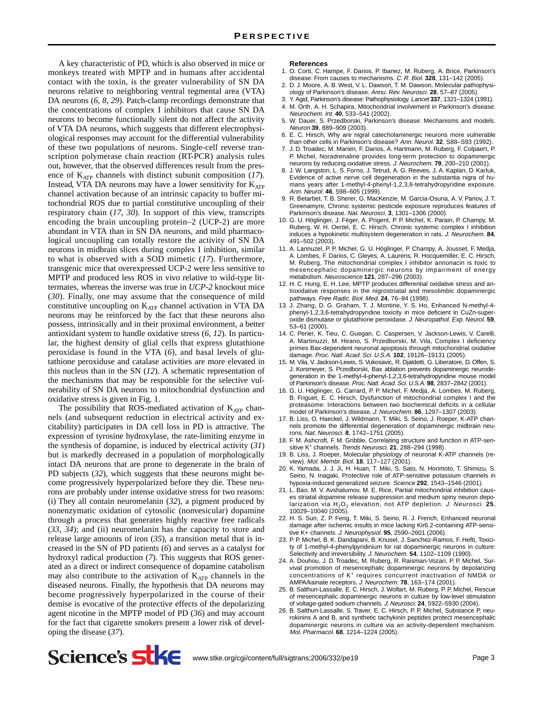A key characteristic of PD, which is also observed in mice or monkeys treated with MPTP and in humans after accidental contact with the toxin, is the greater vulnerability of SN DA neurons relative to neighboring ventral tegmental area (VTA) DA neurons (*6*, *8*, *29*). Patch-clamp recordings demonstrate that the concentrations of complex I inhibitors that cause SN DA neurons to become functionally silent do not affect the activity of VTA DA neurons, which suggests that different electrophysiological responses may account for the differential vulnerability of these two populations of neurons. Single-cell reverse transcription polymerase chain reaction (RT-PCR) analysis rules out, however, that the observed differences result from the presence of K<sub>ATP</sub> channels with distinct subunit composition (17). Instead, VTA DA neurons may have a lower sensitivity for  $K_{ATP}$ channel activation because of an intrinsic capacity to buffer mitochondrial ROS due to partial constitutive uncoupling of their respiratory chain (*17*, *30*). In support of this view, transcripts encoding the brain uncoupling protein–2 (UCP-2) are more abundant in VTA than in SN DA neurons, and mild pharmacological uncoupling can totally restore the activity of SN DA neurons in midbrain slices during complex I inhibition, similar to what is observed with a SOD mimetic (*17*). Furthermore, transgenic mice that overexpressed UCP-2 were less sensitive to MPTP and produced less ROS in vivo relative to wild-type littermates, whereas the inverse was true in *UCP-2* knockout mice (*30*). Finally, one may assume that the consequence of mild constitutive uncoupling on KATP channel activation in VTA DA neurons may be reinforced by the fact that these neurons also possess, intrinsically and in their proximal environment, a better antioxidant system to handle oxidative stress (*6*, *12*). In particular, the highest density of glial cells that express glutathione peroxidase is found in the VTA (*6*), and basal levels of glutathione peroxiduse and catalase activities are more elevated in this nucleus than in the SN (*12*). A schematic representation of the mechanisms that may be responsible for the selective vulnerability of SN DA neurons to mitochondrial dysfunction and oxidative stress is given in Fig. 1.

The possibility that ROS-mediated activation of  $K_{ATP}$  channels (and subsequent reduction in electrical activity and excitability) participates in DA cell loss in PD is attractive. The expression of tyrosine hydroxylase, the rate-limiting enzyme in the synthesis of dopamine, is induced by electrical activity (*31*) but is markedly decreased in a population of morphologically intact DA neurons that are prone to degenerate in the brain of PD subjects (*32*), which suggests that these neurons might become progressively hyperpolarized before they die. These neurons are probably under intense oxidative stress for two reasons: (i) They all contain neuromelanin (*32*), a pigment produced by nonenzymatic oxidation of cytosolic (nonvesicular) dopamine through a process that generates highly reactive free radicals (*33*, *34*); and (ii) neuromelanin has the capacity to store and release large amounts of iron (*35*), a transition metal that is increased in the SN of PD patients (*6*) and serves as a catalyst for hydroxyl radical production (*7*). This suggests that ROS generated as a direct or indirect consequence of dopamine catabolism may also contribute to the activation of  $K_{ATP}$  channels in the diseased neurons. Finally, the hypothesis that DA neurons may become progressively hyperpolarized in the course of their demise is evocative of the protective effects of the depolarizing agent nicotine in the MPTP model of PD (*36*) and may account for the fact that cigarette smokers present a lower risk of developing the disease (*37*).

## **References**

- 1. O. Corti, C. Hampe, F. Darios, P. Ibanez, M. Ruberg, A. Brice, Parkinson's disease: From causes to mechanisms. C. R. Biol. **328**, 131–142 (2005).
- 2. D. J. Moore, A. B. West, V. L. Dawson, T. M. Dawson, Molecular pathophysiology of Parkinson's disease. Annu. Rev. Neurosci. **28**, 57–87 (2005).
- 3. Y. Agid, Parkinson's disease: Pathophysiology. Lancet **337**, 1321–1324 (1991). 4. M. Orth, A. H. Schapira, Mitochondrial involvement in Parkinson's disease. Neurochem. Int. **40**, 533–541 (2002).
- 5. W. Dauer, S. Przedborski, Parkinson's disease: Mechanisms and models. Neuron **39**, 889–909 (2003).
- 6. E. C. Hirsch, Why are nigral catecholaminergic neurons more vulnerable than other cells in Parkinson's disease? Ann. Neurol. **32**, S88–S93 (1992).
- 7. J. D. Troadec, M. Marien, F. Darios, A. Hartmann, M. Ruberg, F. Colpaert, P. P. Michel, Noradrenaline provides long-term protection to dopaminergic neurons by reducing oxidative stress. J. Neurochem. **79**, 200–210 (2001).
- 8. J. W. Langston, L. S. Forno, J. Tetrud, A. G. Reeves, J. A. Kaplan, D. Karluk, Evidence of active nerve cell degeneration in the substantia nigra of humans years after 1-methyl-4-phenyl-1,2,3,6-tetrahydropyridine exposure. Ann. Neurol. **46**, 598–605 (1999).
- 9. R. Betarbet, T. B. Sherer, G. MacKenzie, M. Garcia-Osuna, A. V. Panov, J. T. Greenamyre, Chronic systemic pesticide exposure reproduces features of Parkinson's disease. Nat. Neurosci. **3**, 1301–1306 (2000).
- 10. G. U. Höglinger, J. Féger, A. Prigent, P. P. Michel, K. Parain, P. Champy, M. Ruberg, W. H. Oertel, E. C. Hirsch, Chronic systemic complex I inhibition induces a hypokinetic multisystem degeneration in rats. J. Neurochem. **84**, 491–502 (2003).
- 11. A. Lannuzel, P. P. Michel, G. U. Höglinger, P. Champy, A. Jousset, F. Medja, A. Lombes, F. Darios, C. Gleyes, A. Laurens, R. Hocquemiller, E. C. Hirsch, M. Ruberg, The mitochondrial complex I inhibitor annonacin is toxic to mesencephalic dopaminergic neurons by impairment of energy metabolism. Neuroscience **121**, 287–296 (2003).
- 12. H. C. Hung, E. H. Lee, MPTP produces differential oxidative stress and antioxidative responses in the nigrostriatal and mesolimbic dopaminergic pathways. Free Radic. Biol. Med. **24**, 76–84 (1998).
- 13. J. Zhang, D. G. Graham, T. J. Montine, Y. S. Ho, Enhanced N-methyl-4 phenyl-1,2,3,6-tetrahydropyridine toxicity in mice deficient in CuZn-superoxide dismutase or glutathione peroxidase. J. Neuropathol. Exp. Neurol. **59**, 53–61 (2000).
- 14. C. Perier, K. Tieu, C. Guegan, C. Caspersen, V. Jackson-Lewis, V. Carelli, A. Martinuzzi, M. Hirano, S. Przedborski, M. Vila, Complex I deficiency primes Bax-dependent neuronal apoptosis through mitochondrial oxidative damage. Proc. Natl. Acad. Sci. U.S.A. **102**, 19126–19131 (2005).
- 15. M. Vila, V. Jackson-Lewis, S. Vukosavic, R. Djaldetti, G. Liberatore, D. Offen, S. J. Korsmeyer, S. Przedborski, Bax ablation prevents dopaminergic neurodegeneration in the 1-methyl-4-phenyl-1,2,3,6-tetrahydropyridine mouse model of Parkinson's disease. Proc. Natl. Acad. Sci. U.S.A. **98**, 2837–2842 (2001).
- 16. G. U. Höglinger, G. Carrard, P. P. Michel, F. Medja, A. Lombes, M. Ruberg, B. Friguet, E. C. Hirsch, Dysfunction of mitochondrial complex I and the proteasome: Interactions between two biochemical deficits in a cellular model of Parkinson's disease. J. Neurochem. **86**, 1297–1307 (2003).
- 17. B. Liss, O. Haeckel, J. Wildmann, T. Miki, S. Seino, J. Roeper, K-ATP channels promote the differential degeneration of dopaminergic midbrain neurons. Nat. Neurosci. **8**, 1742–1751 (2005).
- 18. F. M. Ashcroft, F. M. Gribble, Correlating structure and function in ATP-sensitive K+ channels. Trends Neurosci. **21**, 288–294 (1998).
- 19. B. Liss, J. Roeper, Molecular physiology of neuronal K-ATP channels (review). Mol. Membr. Biol. **18**, 117–127 (2001).
- 20. K. Yamada, J. J. Ji, H. Huan, T. Miki, S. Sato, N. Horimoto, T. Shimizu, S. Seino, N. Inagaki, Protective role of ATP-sensitive potassium channels in hypoxia-induced generalized seizure. Science **292**, 1543–1546 (2001).
- 21. L. Bao, M. V. Avshalumov, M. E. Rice, Partial mitochondrial inhibition causes striatal dopamine release suppression and medium spiny neuron depolarization via H<sub>2</sub>O<sub>2</sub> elevation, not ATP depletion. J. Neurosci. 25, 10029–10040 (2005).
- 22. H. S. Sun, Z. P. Feng, T. Miki, S. Seino, R. J. French, Enhanced neuronal damage after ischemic insults in mice lacking Kir6.2-containing ATP-sensi-tive K+ channels. J. Neurophysiol. **95**, 2590–2601 (2006).
- 23. P. P. Michel, B. K. Dandapani, B. Knusel, J. Sanchez-Ramos, F. Hefti, Toxicity of 1-methyl-4-phenylpyridinium for rat dopaminergic neurons in culture: Selectivity and irreversibility. J. Neurochem. **54**, 1102–1109 (1990).
- 24. A. Douhou, J. D. Troadec, M. Ruberg, R. Raisman-Vozari, P. P. Michel, Survival promotion of mesencephalic dopaminergic neurons by depolarizing concentrations of K+ requires concurrent inactivation of NMDA or AMPA/kainate receptors. J. Neurochem. **78**, 163–174 (2001).
- 25. B. Salthun-Lassalle, E. C. Hirsch, J. Wolfart, M. Ruberg, P. P. Michel, Rescue of mesencephalic dopaminergic neurons in culture by low-level stimulation of voltage-gated sodium channels. J. Neurosci. **24**, 5922–5930 (2004).
- 26. B. Salthun-Lassalle, S. Traver, E. C. Hirsch, P. P. Michel, Substance P, neurokinins A and B, and synthetic tachykinin peptides protect mesencephalic dopaminergic neurons in culture via an activity-dependent mechanism. Mol. Pharmacol. **68**, 1214–1224 (2005).